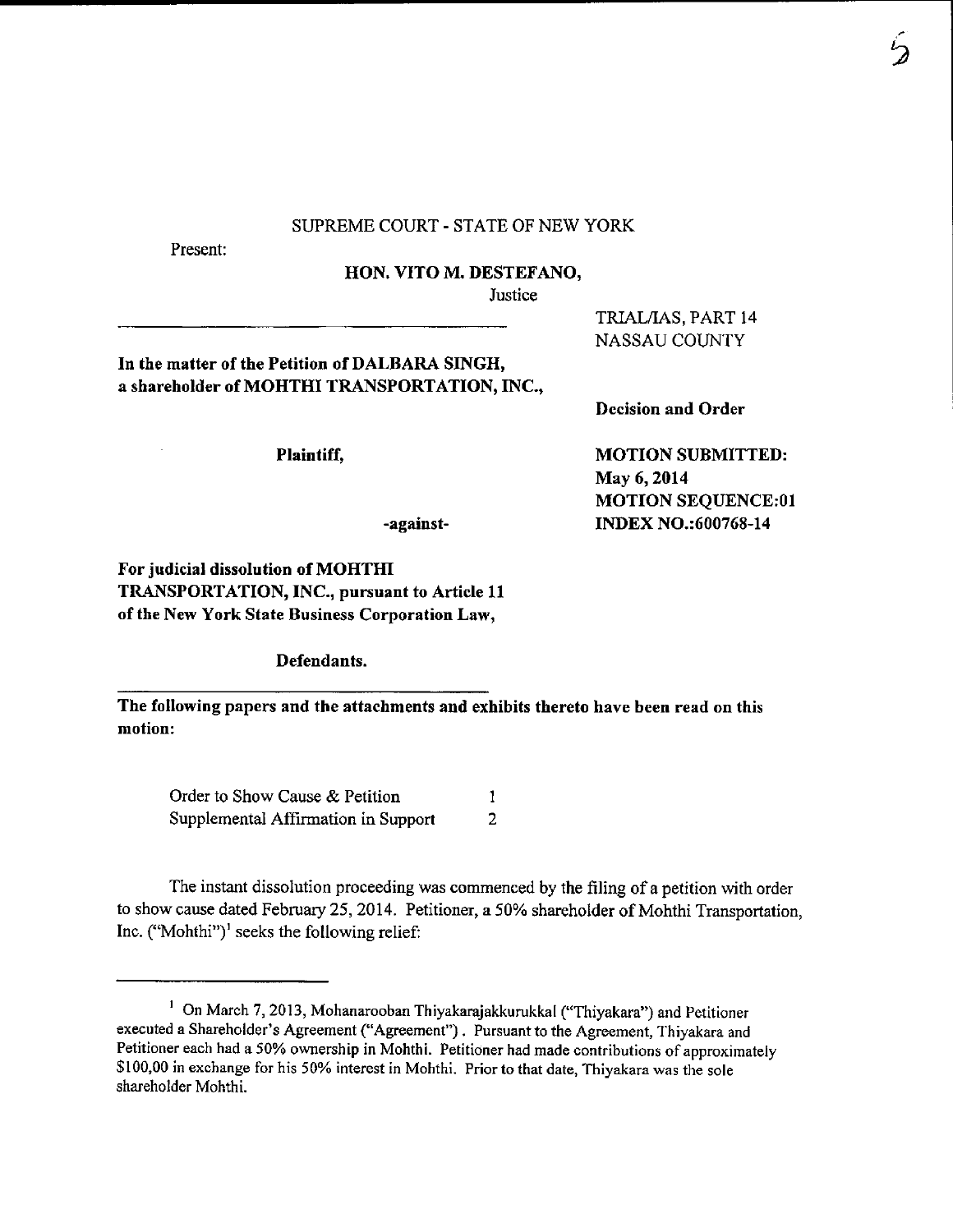## SUPREME COURT - STATE OF NEW YORK

Present:

HON. VITO M. DESTEFANO,

**Justice** 

In the matter of the Petition of DALBARA SINGH, a shareholder of MOHTHI TRANSPORTATION, INC.,

Plaintiff,

NASSAU COUNTY

TRIAL/IAS, PART 14

Dccision and Order

MOTION SUBMITTED: May 6,2014 MOTION SEQUENCE:0I INDEX NO.:600768-14

For judicial dissolution of MOHTHI TRANSPORTATION, INC., pursuant to Article 11 of the New York State Business Corporation Law,

Defendants.

The following papers and the attachments and exhibits thereto have been read on this motion:

-against-

Order to Show Cause & Petition  $\mathbf{1}$ Supplemental Affirmation in Support  $\overline{2}$ 

The instant dissolution proceeding was commenced by the filing of a petition with order to show cause dated February 25, 2014. Petitioner, a 50% shareholder of Mohthi Transportation, Inc. ("Mohthi")<sup> $\alpha$ </sup> seeks the following relief:

 $1$  On March 7, 2013, Mohanarooban Thiyakarajakkurukkal ("Thiyakara") and Petitioner executed a Shareholder's Agreement ("Agreement"). Pursuant to the Agreement, Thiyakara and Petitioner each had a 50% ownership in Mohthi. Petitioner had made contributions of approximately \$100,00 in exchange for his 50% interest in Mohthi. Prior to that date, Thiyakara was the sole shareholder Mohthi.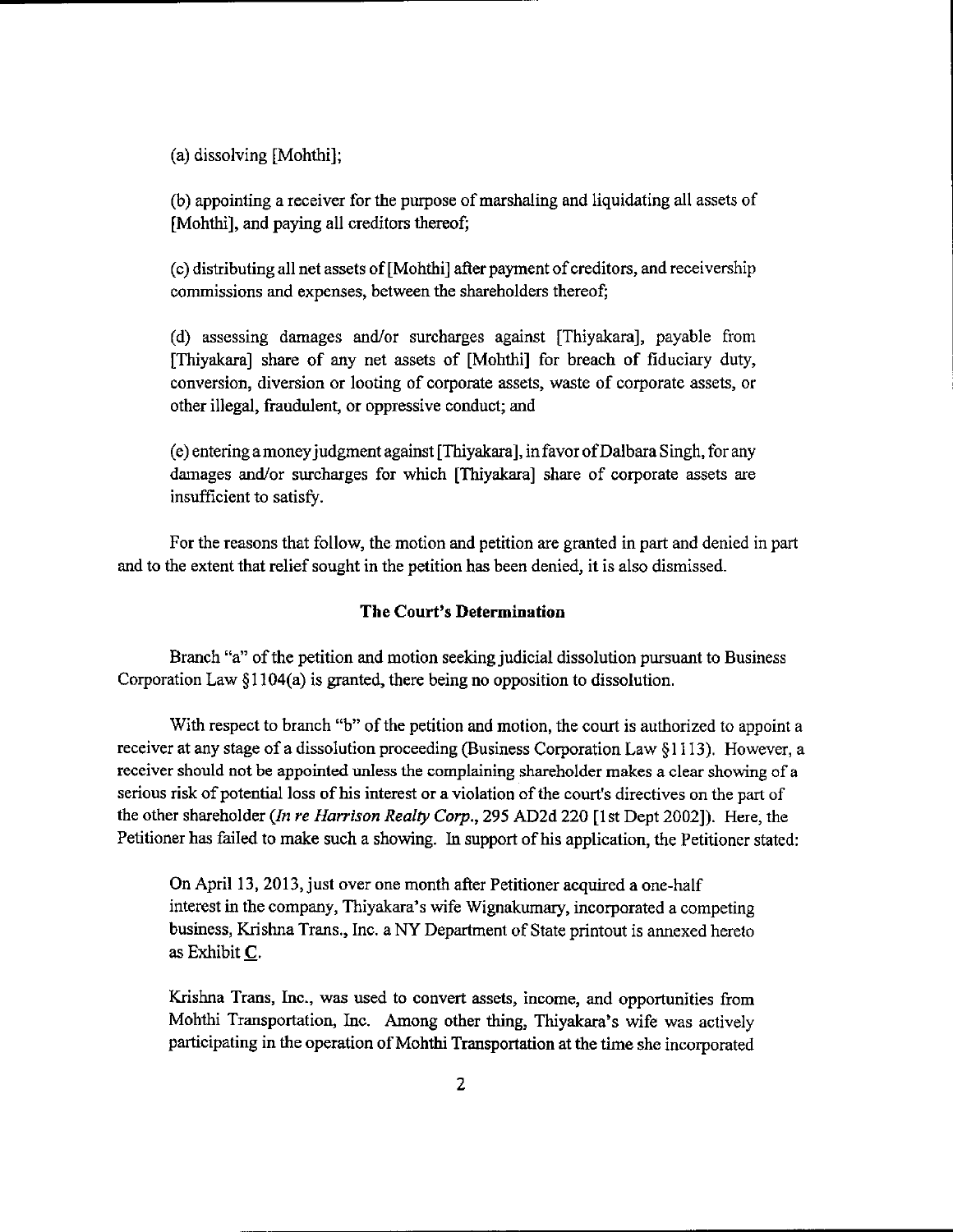(a) dissolving [Mohthi];

(b) appointing a receiver for the purpose of marshaling and liquidating all assets of [Mohthi], and paying all creditors thereof;

 $(c)$  distributing all net assets of [Mohthi] after payment of creditors, and receivership commissions and expenses, between the shareholders thereof;

(d) assessing damages and/or surcharges against [Thiyakara], payable from [Thiyakara] share of any net assets of [Mohthi] for breach of fiduciary duty, conversion, diversion or looting of corporate assets, waste of corporate assets, or other illegal, fraudulent, or oppressive conduct; and

(e) entering amoneyjudgment against [Thiyakara], in favor ofDalbara S ingh, for any damages and/or surcharges for which [Thiyakara] share of corporate assets are insufficient to satisfy.

For the reasons that follow, the motion and petition are granted in part and denied in part and to the extent that relief sought in the petition has been denied, it is also dismissed.

## The Court's Determination

Branch "a" of the petition and motion seeking judicial dissolution pursuant to Business Corporation Law \$1104(a) is granted, there being no opposition to dissolution.

With respect to branch "b" of the petition and motion, the court is authorized to appoint a receiver at any stage of a dissolution proceeding (Business Corporation Law §1113). However, a receiver should not be appointed unless the complaining shareholder makes a clear showing of a serious risk of potential loss of his interest or a violation of the court's directives on the part of the other shareholder (In re Harrison Realty Corp., 295 AD2d 220 [1st Dept 2002]). Here, the Petitioner has failed to make such a showing. In support of his application, the Petitioner stated:

On April 13, 2013, just over one month after Petitioner acquired a one-half interest in the company, Thiyakara's wife Wignakumary, incorporated a competing business, Krishna Trans., Inc. a NY Department of State printout is annexed hereto as Exhibit C.

Krishna Trans, Inc., was used to convert assets, income, and opportunities from Mohthi Transportation, Inc. Among other thing, Thiyakara's wife was actively participating in the operation of Mohthi Transportation at the time she incorporated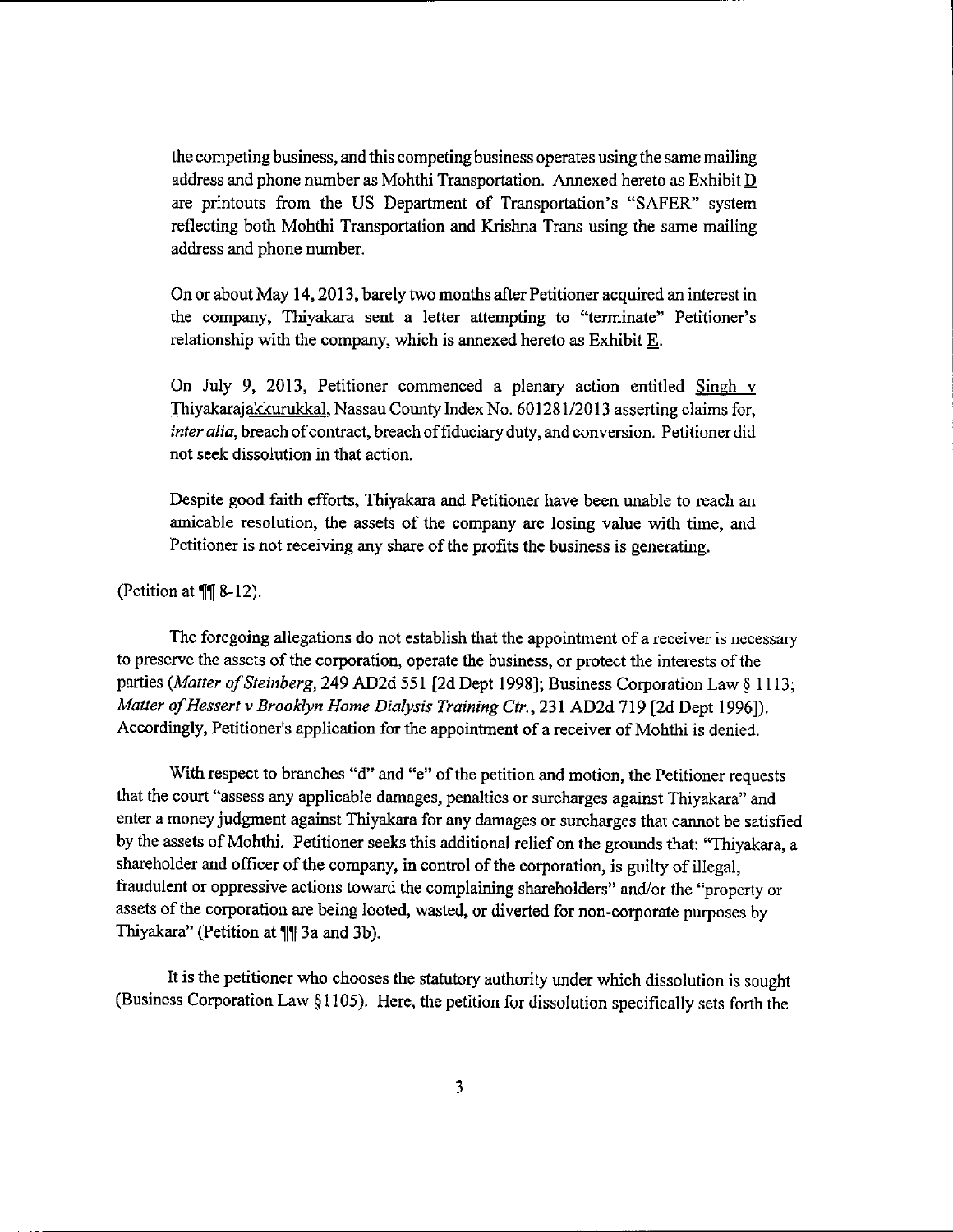the competing business, and this competing business operates using the same mailing address and phone number as Mohthi Transportation. Annexed hereto as Exhibit  $\underline{\mathbf{D}}$ are printouts from the US Department of Transportation's "SAFER" system reflecting both Mohthi Transportation and Krishna Trans using the same mailing address and phone number.

On or about May 14, 2013, barely two months after Petitioner acquired an interest in the company, Thiyakara sent a letter attempting to "terminate" Petitioner's relationship with the company, whioh is annexed hereto as Exhibit E.

On July 9, 2013, Petitioner commenced a plenary action entitled Singh v Thivakaraiakkurukkal, Nassau County Index No. 60128112013 asserting claims for, inter alia, breach of contract, breach of fiduciary duty, and conversion. Petitioner did not seek dissolution in that action.

Despite good faith efforts, Thiyakara and Petitioner have been unable to reach an amicable resolution, the assets of the company are losing value with time, and Petitioner is not receiving aay share of the profits the business is generating.

(Petition at  $\P$ [ 8-12).

The foregoing allegations do not establish that the appointment of a receiver is necessary to preserve the assets of the corporation, operate the business, or protect the interests of the parties (Matter of Steinberg, 249 AD2d 551 [2d Dept 1998]; Business Corporation Law § 1113; Matter of Hessert v Brooklyn Home Dialysis Training Ctr., 231 AD2d 719 [2d Dept 1996]). Accordingly, Petitioner's application for the appointment of a receiver of Mohthi is denied.

With respect to branches "d" and "e" of the petition and motion, the Petitioner requests that the court "assess any applicable damages, penalties or surcharges against Thiyakara" and enter a money judgment against Thiyakara for any damages or surcharges that cannot be satisfied by the assets of Mohthi. Petitioner seeks this additional relief on the grounds that: "Thiyakara, a shareholder and officer of the company, in control of the corporation, is guilty of illegal, fraudulent or oppressive actions toward the complaining shareholders" and/or the "property or assets of the corporation are being looted, wasted, or diverted for non-corporate purposes by Thiyakara" (Petition at ¶¶ 3a and 3b).

It is the petitioner who chooses the statutory authority under which dissolution is sought (Business Corporation Law  $\S1105$ ). Here, the petition for dissolution specifically sets forth the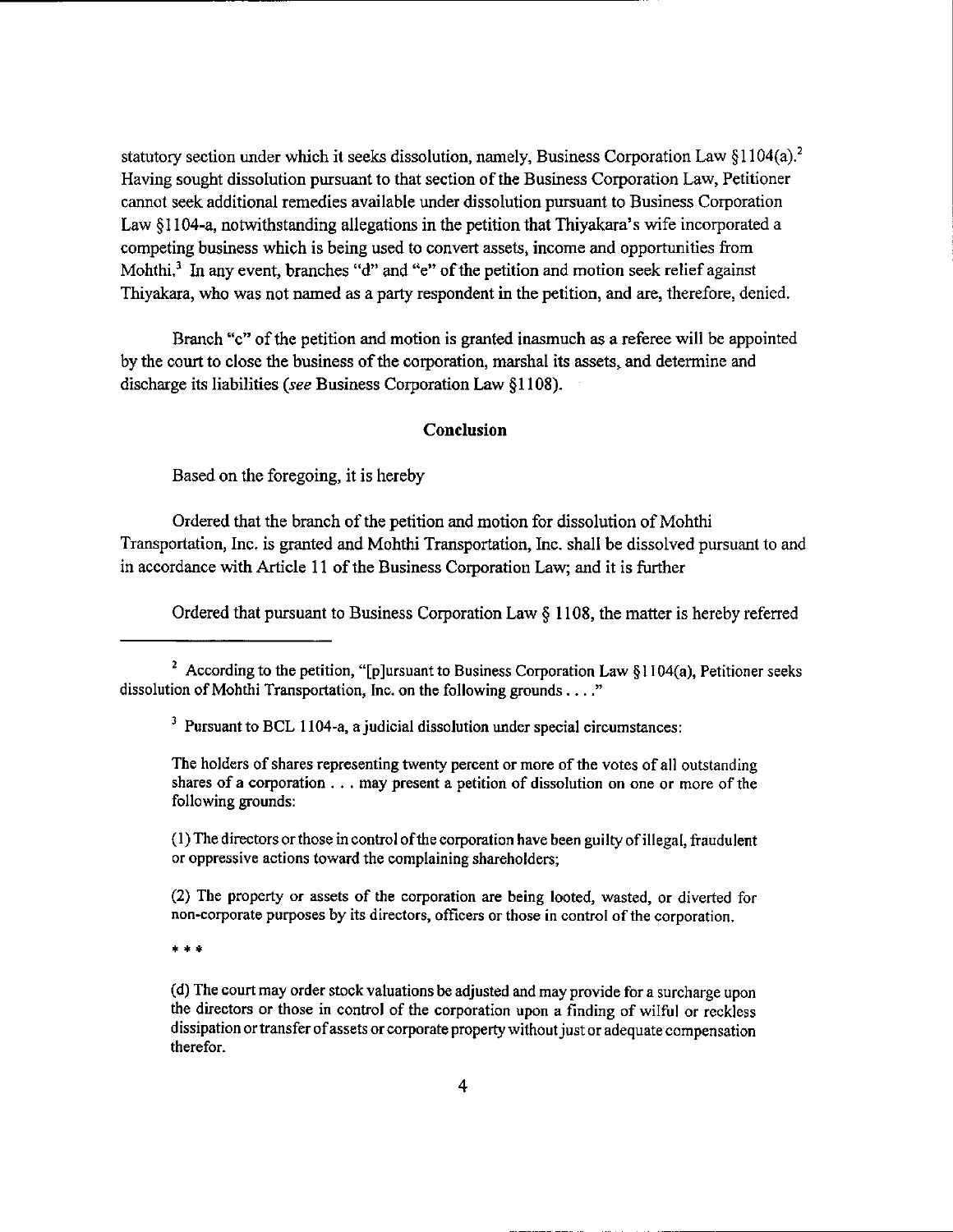statutory section under which it seeks dissolution, namely, Business Corporation Law  $$1104(a).$ <sup>2</sup> Having sought dissolution pursuant to that section of the Business Corporation Law, Petitioner cannot seek additional remedies available under dissolution pursuant to Business Corporation Law \$1I04-a, notwithstanding allegations in the petition that Thiyakara's wife incorporated <sup>a</sup> competing business whioh is being used to convert assets, income and opportunities from Mohthi,<sup>3</sup> In any event, branches "d" and "e" of the petition and motion seek relief against Thiyakara, who was not named as a party respondent in the petition, and are, therefore, denied.

Branch "c" of the petition and motion is granted inasmuch as a referee will be appointed by the court to close the business of the corporation, marshal its assets, and determine and discharge its liabilities (see Business Corporation Law §1108).

## Conclusion

Based on the foregoing, it is hereby

Ordered that the branch of the petition and motion for dissolution of Mohthi Transportation, Inc. is granted and Mohthi Transportation, Inc. shall be dissolved pursuant to and in accordance with Article 11 of the Business Corporation Law; and it is further

Ordered that pursuant to Business Corporation Law  $\S$  1108, the matter is hereby referred

The holders of shares representing twenty percent or more of the votes of all outstanding shares of a corporation . . . may present a petition of dissolution on one or more of the following grounds:

 $(1)$  The directors or those in control of the corporation have been guilty of illegal, fraudulent or oppressive actions toward the complaining shareholders;

(2) The property or assets of the corporation are being lookd, wasted, or diverted for non-corporate purposes by its directors, officers or those in control of the corporation.

\* \* \*

(d) The court may order stock valuations be adjusted and may provide for a surcharge upon the directors or those in control of the corporation upon a finding of wilful or reckless dissipation or transfer of assets or corporate property without just or adequate compensation therefor.

<sup>&</sup>lt;sup>2</sup> According to the petition, "[p]ursuant to Business Corporation Law  $\S1104(a)$ , Petitioner seeks dissolution of Mohthi Transportation, Inc. on the following grounds . . . "

 $3$  Pursuant to BCL 1104-a, a judicial dissolution under special circumstances: